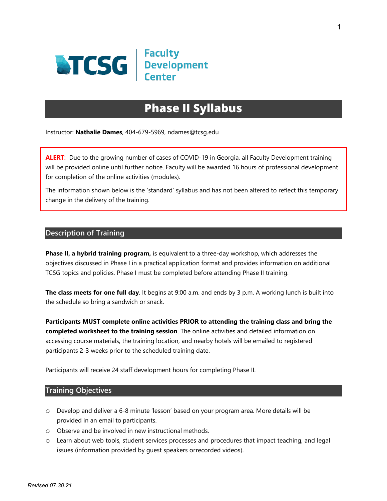

# **Phase II Syllabus**

Instructor: **Nathalie Dames**, 404-679-5969, [ndames@tcsg.edu](mailto:ndames@tcsg.edu)

**ALERT**: Due to the growing number of cases of COVID-19 in Georgia, all Faculty Development training will be provided online until further notice. Faculty will be awarded 16 hours of professional development for completion of the online activities (modules).

The information shown below is the 'standard' syllabus and has not been altered to reflect this temporary change in the delivery of the training.

### **Description of Training**

**Phase II, a hybrid training program,** is equivalent to a three-day workshop, which addresses the objectives discussed in Phase I in a practical application format and provides information on additional TCSG topics and policies. Phase I must be completed before attending Phase II training.

**The class meets for one full day**. It begins at 9:00 a.m. and ends by 3 p.m. A working lunch is built into the schedule so bring a sandwich or snack.

**Participants MUST complete online activities PRIOR to attending the training class and bring the completed worksheet to the training session**. The online activities and detailed information on accessing course materials, the training location, and nearby hotels will be emailed to registered participants 2-3 weeks prior to the scheduled training date.

Participants will receive 24 staff development hours for completing Phase II.

#### **Training Objectives**

- o Develop and deliver a 6-8 minute 'lesson' based on your program area. More details will be provided in an email to participants.
- o Observe and be involved in new instructional methods.
- o Learn about web tools, student services processes and procedures that impact teaching, and legal issues (information provided by guest speakers orrecorded videos).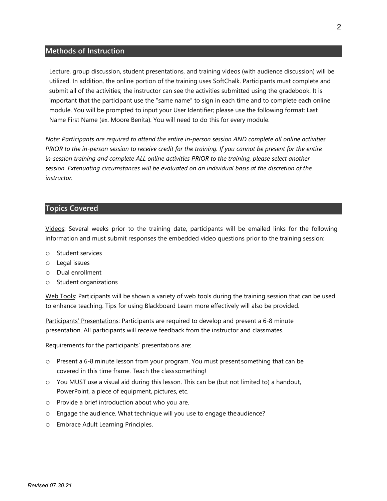#### **Methods of Instruction**

Lecture, group discussion, student presentations, and training videos (with audience discussion) will be utilized. In addition, the online portion of the training uses SoftChalk. Participants must complete and submit all of the activities; the instructor can see the activities submitted using the gradebook. It is important that the participant use the "same name" to sign in each time and to complete each online module. You will be prompted to input your User Identifier; please use the following format: Last Name First Name (ex. Moore Benita). You will need to do this for every module.

*Note: Participants are required to attend the entire in-person session AND complete all online activities PRIOR to the in-person session to receive credit for the training. If you cannot be present for the entire in-session training and complete ALL online activities PRIOR to the training, please select another session. Extenuating circumstances will be evaluated on an individual basis at the discretion of the instructor.*

#### **Topics Covered**

Videos: Several weeks prior to the training date, participants will be emailed links for the following information and must submit responses the embedded video questions prior to the training session:

- o Student services
- o Legal issues
- o Dual enrollment
- o Student organizations

Web Tools: Participants will be shown a variety of web tools during the training session that can be used to enhance teaching. Tips for using Blackboard Learn more effectively will also be provided.

Participants' Presentations: Participants are required to develop and present a 6-8 minute presentation. All participants will receive feedback from the instructor and classmates.

Requirements for the participants' presentations are:

- o Present a 6-8 minute lesson from your program. You must present something that can be covered in this time frame. Teach the class something!
- o You MUST use a visual aid during this lesson. This can be (but not limited to) a handout, PowerPoint, a piece of equipment, pictures, etc.
- o Provide a brief introduction about who you are.
- o Engage the audience. What technique will you use to engage theaudience?
- o Embrace Adult Learning Principles.